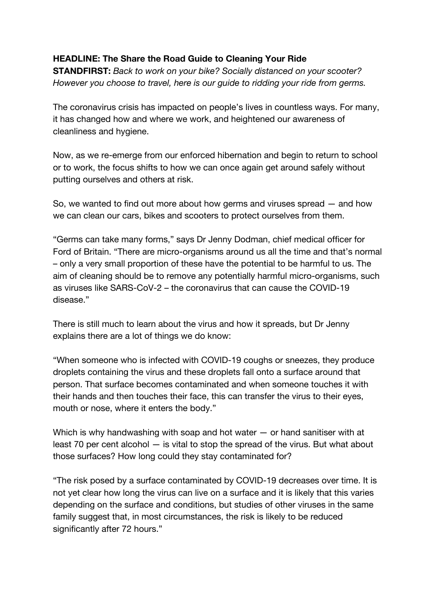## **HEADLINE: The Share the Road Guide to Cleaning Your Ride**

**STANDFIRST:** *Back to work on your bike? Socially distanced on your scooter? However you choose to travel, here is our guide to ridding your ride from germs.*

The coronavirus crisis has impacted on people's lives in countless ways. For many, it has changed how and where we work, and heightened our awareness of cleanliness and hygiene.

Now, as we re-emerge from our enforced hibernation and begin to return to school or to work, the focus shifts to how we can once again get around safely without putting ourselves and others at risk.

So, we wanted to find out more about how germs and viruses spread — and how we can clean our cars, bikes and scooters to protect ourselves from them.

"Germs can take many forms," says Dr Jenny Dodman, chief medical officer for Ford of Britain. "There are micro-organisms around us all the time and that's normal – only a very small proportion of these have the potential to be harmful to us. The aim of cleaning should be to remove any potentially harmful micro-organisms, such as viruses like SARS-CoV-2 – the coronavirus that can cause the COVID-19 disease."

There is still much to learn about the virus and how it spreads, but Dr Jenny explains there are a lot of things we do know:

"When someone who is infected with COVID-19 coughs or sneezes, they produce droplets containing the virus and these droplets fall onto a surface around that person. That surface becomes contaminated and when someone touches it with their hands and then touches their face, this can transfer the virus to their eyes, mouth or nose, where it enters the body."

Which is why handwashing with soap and hot water — or hand sanitiser with at least 70 per cent alcohol — is vital to stop the spread of the virus. But what about those surfaces? How long could they stay contaminated for?

"The risk posed by a surface contaminated by COVID-19 decreases over time. It is not yet clear how long the virus can live on a surface and it is likely that this varies depending on the surface and conditions, but studies of other viruses in the same family suggest that, in most circumstances, the risk is likely to be reduced significantly after 72 hours."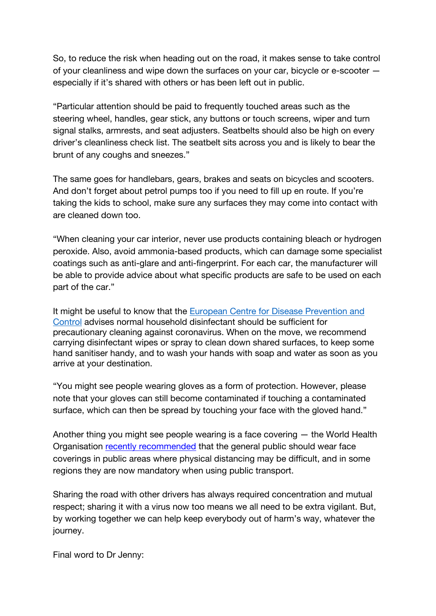So, to reduce the risk when heading out on the road, it makes sense to take control of your cleanliness and wipe down the surfaces on your car, bicycle or e-scooter especially if it's shared with others or has been left out in public.

"Particular attention should be paid to frequently touched areas such as the steering wheel, handles, gear stick, any buttons or touch screens, wiper and turn signal stalks, armrests, and seat adjusters. Seatbelts should also be high on every driver's cleanliness check list. The seatbelt sits across you and is likely to bear the brunt of any coughs and sneezes."

The same goes for handlebars, gears, brakes and seats on bicycles and scooters. And don't forget about petrol pumps too if you need to fill up en route. If you're taking the kids to school, make sure any surfaces they may come into contact with are cleaned down too.

"When cleaning your car interior, never use products containing bleach or hydrogen peroxide. Also, avoid ammonia-based products, which can damage some specialist coatings such as anti-glare and anti-fingerprint. For each car, the manufacturer will be able to provide advice about what specific products are safe to be used on each part of the car."

It might be useful to know that the European Centre for Disease Prevention and Control advises normal household disinfectant should be sufficient for precautionary cleaning against coronavirus. When on the move, we recommend carrying disinfectant wipes or spray to clean down shared surfaces, to keep some hand sanitiser handy, and to wash your hands with soap and water as soon as you arrive at your destination.

"You might see people wearing gloves as a form of protection. However, please note that your gloves can still become contaminated if touching a contaminated surface, which can then be spread by touching your face with the gloved hand."

Another thing you might see people wearing is a face covering — the World Health Organisation recently recommended that the general public should wear face coverings in public areas where physical distancing may be difficult, and in some regions they are now mandatory when using public transport.

Sharing the road with other drivers has always required concentration and mutual respect; sharing it with a virus now too means we all need to be extra vigilant. But, by working together we can help keep everybody out of harm's way, whatever the journey.

Final word to Dr Jenny: